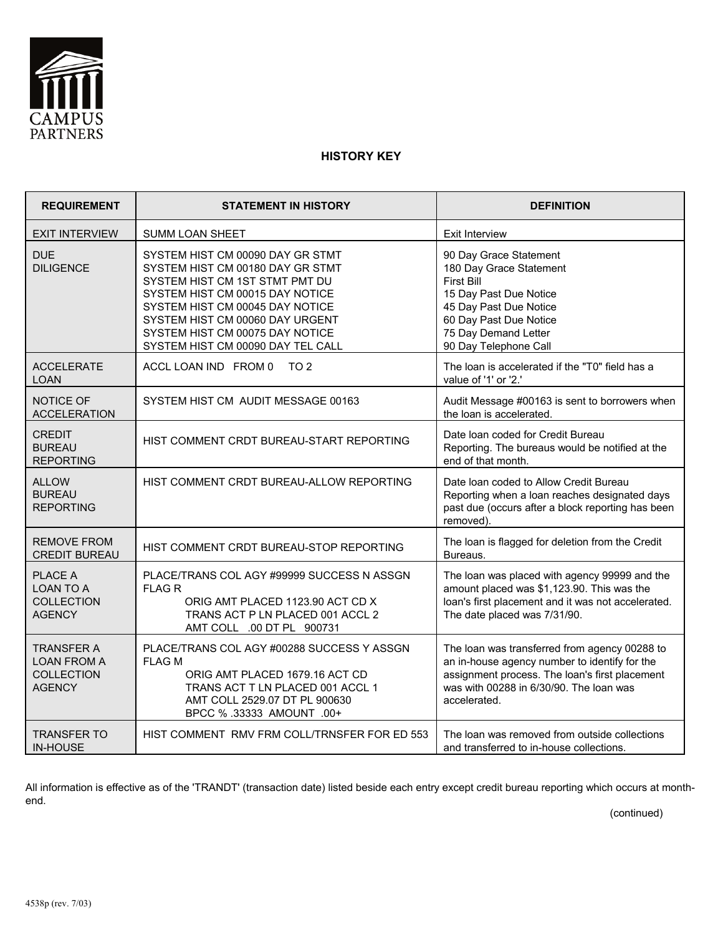

## **HISTORY KEY**

| <b>REQUIREMENT</b>                                                            | <b>STATEMENT IN HISTORY</b>                                                                                                                                                                                                                                                             | <b>DEFINITION</b>                                                                                                                                                                                           |
|-------------------------------------------------------------------------------|-----------------------------------------------------------------------------------------------------------------------------------------------------------------------------------------------------------------------------------------------------------------------------------------|-------------------------------------------------------------------------------------------------------------------------------------------------------------------------------------------------------------|
| <b>EXIT INTERVIEW</b>                                                         | <b>SUMM LOAN SHEET</b>                                                                                                                                                                                                                                                                  | Exit Interview                                                                                                                                                                                              |
| DUE<br><b>DILIGENCE</b>                                                       | SYSTEM HIST CM 00090 DAY GR STMT<br>SYSTEM HIST CM 00180 DAY GR STMT<br>SYSTEM HIST CM 1ST STMT PMT DU<br>SYSTEM HIST CM 00015 DAY NOTICE<br>SYSTEM HIST CM 00045 DAY NOTICE<br>SYSTEM HIST CM 00060 DAY URGENT<br>SYSTEM HIST CM 00075 DAY NOTICE<br>SYSTEM HIST CM 00090 DAY TEL CALL | 90 Day Grace Statement<br>180 Day Grace Statement<br><b>First Bill</b><br>15 Day Past Due Notice<br>45 Day Past Due Notice<br>60 Day Past Due Notice<br>75 Day Demand Letter<br>90 Day Telephone Call       |
| <b>ACCELERATE</b><br><b>LOAN</b>                                              | ACCL LOAN IND FROM 0<br>TO 2                                                                                                                                                                                                                                                            | The loan is accelerated if the "T0" field has a<br>value of '1' or '2.'                                                                                                                                     |
| NOTICE OF<br><b>ACCELERATION</b>                                              | SYSTEM HIST CM AUDIT MESSAGE 00163                                                                                                                                                                                                                                                      | Audit Message #00163 is sent to borrowers when<br>the loan is accelerated.                                                                                                                                  |
| <b>CREDIT</b><br><b>BUREAU</b><br><b>REPORTING</b>                            | HIST COMMENT CRDT BUREAU-START REPORTING                                                                                                                                                                                                                                                | Date Ioan coded for Credit Bureau<br>Reporting. The bureaus would be notified at the<br>end of that month.                                                                                                  |
| <b>ALLOW</b><br><b>BUREAU</b><br><b>REPORTING</b>                             | HIST COMMENT CRDT BUREAU-ALLOW REPORTING                                                                                                                                                                                                                                                | Date Ioan coded to Allow Credit Bureau<br>Reporting when a loan reaches designated days<br>past due (occurs after a block reporting has been<br>removed).                                                   |
| <b>REMOVE FROM</b><br><b>CREDIT BUREAU</b>                                    | HIST COMMENT CRDT BUREAU-STOP REPORTING                                                                                                                                                                                                                                                 | The loan is flagged for deletion from the Credit<br>Bureaus.                                                                                                                                                |
| <b>PLACE A</b><br><b>LOAN TO A</b><br><b>COLLECTION</b><br><b>AGENCY</b>      | PLACE/TRANS COL AGY #99999 SUCCESS N ASSGN<br><b>FLAG R</b><br>ORIG AMT PLACED 1123.90 ACT CD X<br>TRANS ACT P LN PLACED 001 ACCL 2<br>AMT COLL .00 DT PL 900731                                                                                                                        | The loan was placed with agency 99999 and the<br>amount placed was \$1,123.90. This was the<br>loan's first placement and it was not accelerated.<br>The date placed was 7/31/90.                           |
| <b>TRANSFER A</b><br><b>LOAN FROM A</b><br><b>COLLECTION</b><br><b>AGENCY</b> | PLACE/TRANS COL AGY #00288 SUCCESS Y ASSGN<br><b>FLAG M</b><br>ORIG AMT PLACED 1679.16 ACT CD<br>TRANS ACT T LN PLACED 001 ACCL 1<br>AMT COLL 2529.07 DT PL 900630<br>BPCC % .33333 AMOUNT .00+                                                                                         | The loan was transferred from agency 00288 to<br>an in-house agency number to identify for the<br>assignment process. The loan's first placement<br>was with 00288 in 6/30/90. The loan was<br>accelerated. |
| <b>TRANSFER TO</b><br><b>IN-HOUSE</b>                                         | HIST COMMENT RMV FRM COLL/TRNSFER FOR ED 553                                                                                                                                                                                                                                            | The loan was removed from outside collections<br>and transferred to in-house collections.                                                                                                                   |

All information is effective as of the 'TRANDT' (transaction date) listed beside each entry except credit bureau reporting which occurs at monthend.

(continued)